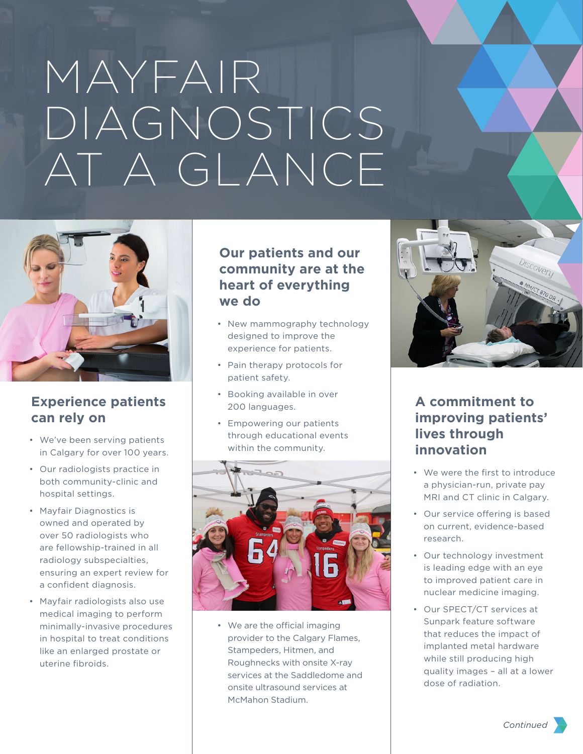# MAYFAIR DIAGNOSTICS AT A GLANCE



## **Experience patients can rely on**

- We've been serving patients in Calgary for over 100 years.
- Our radiologists practice in both community-clinic and hospital settings.
- Mayfair Diagnostics is owned and operated by over 50 radiologists who are fellowship-trained in all radiology subspecialties, ensuring an expert review for a confident diagnosis.
- Mayfair radiologists also use medical imaging to perform minimally-invasive procedures in hospital to treat conditions like an enlarged prostate or uterine fibroids.

## **Our patients and our community are at the heart of everything we do**

- New mammography technology designed to improve the experience for patients.
- Pain therapy protocols for patient safety.
- Booking available in over 200 languages.
- Empowering our patients through educational events within the community.



• We are the official imaging provider to the Calgary Flames, Stampeders, Hitmen, and Roughnecks with onsite X-ray services at the Saddledome and onsite ultrasound services at McMahon Stadium.



## **A commitment to improving patients' lives through innovation**

- We were the first to introduce a physician-run, private pay MRI and CT clinic in Calgary.
- Our service offering is based on current, evidence-based research.
- Our technology investment is leading edge with an eye to improved patient care in nuclear medicine imaging.
- Our SPECT/CT services at Sunpark feature software that reduces the impact of implanted metal hardware while still producing high quality images – all at a lower dose of radiation.